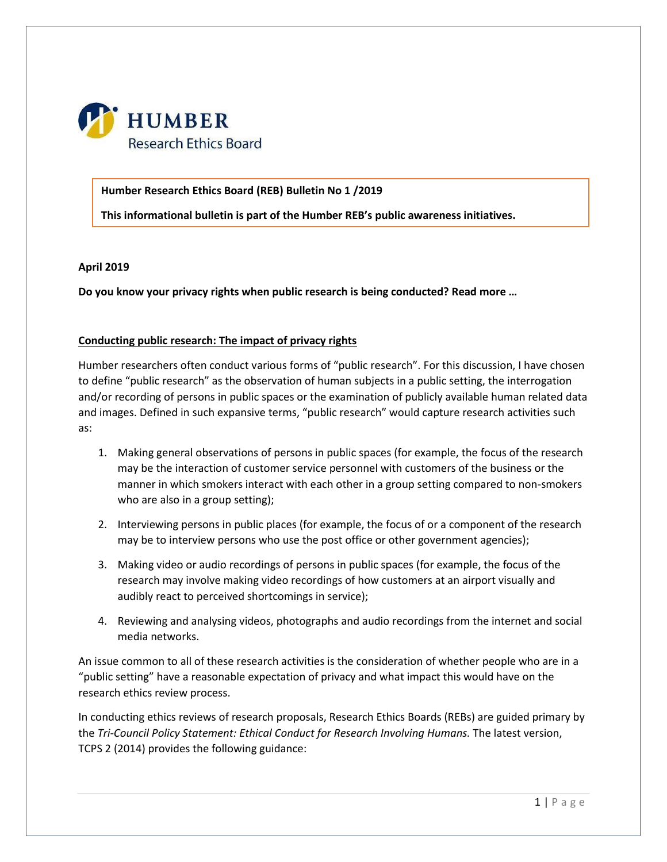

#### **Humber Research Ethics Board (REB) Bulletin No 1 /2019**

**This informational bulletin is part of the Humber REB's public awareness initiatives.**

#### **April 2019**

**Do you know your privacy rights when public research is being conducted? Read more …**

### **Conducting public research: The impact of privacy rights**

Humber researchers often conduct various forms of "public research". For this discussion, I have chosen to define "public research" as the observation of human subjects in a public setting, the interrogation and/or recording of persons in public spaces or the examination of publicly available human related data and images. Defined in such expansive terms, "public research" would capture research activities such as:

- 1. Making general observations of persons in public spaces (for example, the focus of the research may be the interaction of customer service personnel with customers of the business or the manner in which smokers interact with each other in a group setting compared to non-smokers who are also in a group setting);
- 2. Interviewing persons in public places (for example, the focus of or a component of the research may be to interview persons who use the post office or other government agencies);
- 3. Making video or audio recordings of persons in public spaces (for example, the focus of the research may involve making video recordings of how customers at an airport visually and audibly react to perceived shortcomings in service);
- 4. Reviewing and analysing videos, photographs and audio recordings from the internet and social media networks.

An issue common to all of these research activities is the consideration of whether people who are in a "public setting" have a reasonable expectation of privacy and what impact this would have on the research ethics review process.

In conducting ethics reviews of research proposals, Research Ethics Boards (REBs) are guided primary by the *Tri-Council Policy Statement: Ethical Conduct for Research Involving Humans.* The latest version, TCPS 2 (2014) provides the following guidance: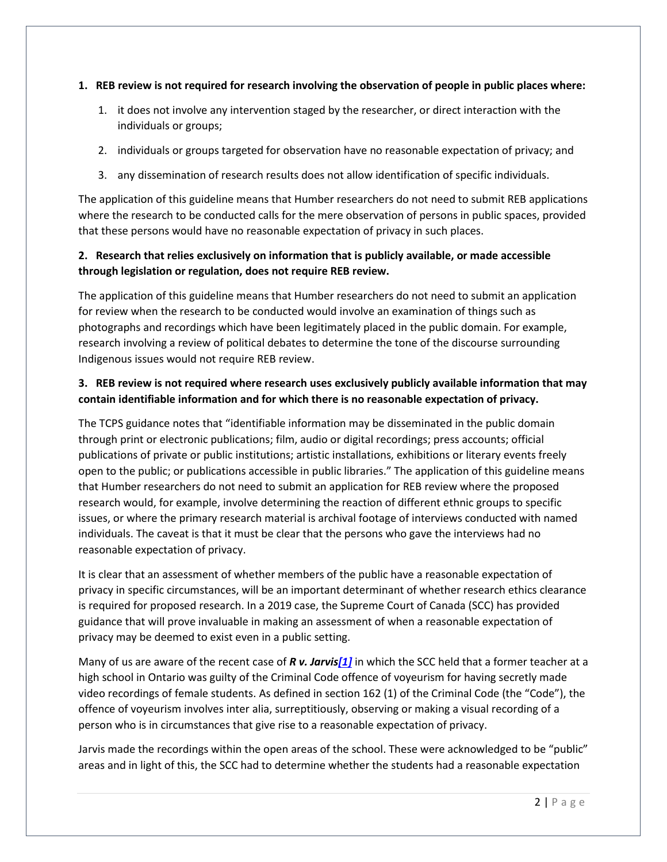#### **1. REB review is not required for research involving the observation of people in public places where:**

- 1. it does not involve any intervention staged by the researcher, or direct interaction with the individuals or groups;
- 2. individuals or groups targeted for observation have no reasonable expectation of privacy; and
- 3. any dissemination of research results does not allow identification of specific individuals.

The application of this guideline means that Humber researchers do not need to submit REB applications where the research to be conducted calls for the mere observation of persons in public spaces, provided that these persons would have no reasonable expectation of privacy in such places.

## **2. Research that relies exclusively on information that is publicly available, or made accessible through legislation or regulation, does not require REB review.**

The application of this guideline means that Humber researchers do not need to submit an application for review when the research to be conducted would involve an examination of things such as photographs and recordings which have been legitimately placed in the public domain. For example, research involving a review of political debates to determine the tone of the discourse surrounding Indigenous issues would not require REB review.

# **3. REB review is not required where research uses exclusively publicly available information that may contain identifiable information and for which there is no reasonable expectation of privacy.**

The TCPS guidance notes that "identifiable information may be disseminated in the public domain through print or electronic publications; film, audio or digital recordings; press accounts; official publications of private or public institutions; artistic installations, exhibitions or literary events freely open to the public; or publications accessible in public libraries." The application of this guideline means that Humber researchers do not need to submit an application for REB review where the proposed research would, for example, involve determining the reaction of different ethnic groups to specific issues, or where the primary research material is archival footage of interviews conducted with named individuals. The caveat is that it must be clear that the persons who gave the interviews had no reasonable expectation of privacy.

It is clear that an assessment of whether members of the public have a reasonable expectation of privacy in specific circumstances, will be an important determinant of whether research ethics clearance is required for proposed research. In a 2019 case, the Supreme Court of Canada (SCC) has provided guidance that will prove invaluable in making an assessment of when a reasonable expectation of privacy may be deemed to exist even in a public setting.

Many of us are aware of the recent case of *R v. Jarvi[s\[1\]](https://humber.ca/staff/announcement/humber-research-ethics-board-hreb-0#_ftn1)* in which the SCC held that a former teacher at a high school in Ontario was guilty of the Criminal Code offence of voyeurism for having secretly made video recordings of female students. As defined in section 162 (1) of the Criminal Code (the "Code"), the offence of voyeurism involves inter alia, surreptitiously, observing or making a visual recording of a person who is in circumstances that give rise to a reasonable expectation of privacy.

Jarvis made the recordings within the open areas of the school. These were acknowledged to be "public" areas and in light of this, the SCC had to determine whether the students had a reasonable expectation